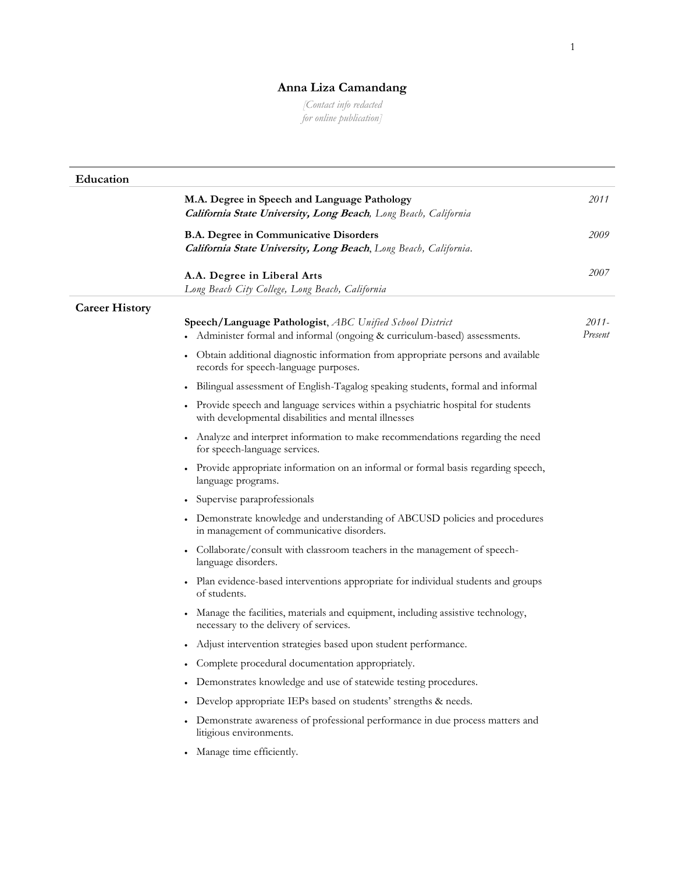## **Anna Liza Camandang**

*[Contact info redacted for online publication]*

| Education             |                                                                                                                                         |                  |
|-----------------------|-----------------------------------------------------------------------------------------------------------------------------------------|------------------|
|                       | M.A. Degree in Speech and Language Pathology<br>California State University, Long Beach, Long Beach, California                         | 2011             |
|                       | <b>B.A. Degree in Communicative Disorders</b><br>California State University, Long Beach, Long Beach, California.                       | 2009             |
|                       | A.A. Degree in Liberal Arts<br>Long Beach City College, Long Beach, California                                                          | 2007             |
| <b>Career History</b> |                                                                                                                                         |                  |
|                       | Speech/Language Pathologist, ABC Unified School District<br>• Administer formal and informal (ongoing & curriculum-based) assessments.  | 2011-<br>Present |
|                       | Obtain additional diagnostic information from appropriate persons and available<br>records for speech-language purposes.                |                  |
|                       | Bilingual assessment of English-Tagalog speaking students, formal and informal                                                          |                  |
|                       | Provide speech and language services within a psychiatric hospital for students<br>with developmental disabilities and mental illnesses |                  |
|                       | Analyze and interpret information to make recommendations regarding the need<br>for speech-language services.                           |                  |
|                       | • Provide appropriate information on an informal or formal basis regarding speech,<br>language programs.                                |                  |
|                       | Supervise paraprofessionals                                                                                                             |                  |
|                       | Demonstrate knowledge and understanding of ABCUSD policies and procedures<br>in management of communicative disorders.                  |                  |
|                       | Collaborate/consult with classroom teachers in the management of speech-<br>language disorders.                                         |                  |
|                       | Plan evidence-based interventions appropriate for individual students and groups<br>of students.                                        |                  |
|                       | Manage the facilities, materials and equipment, including assistive technology,<br>necessary to the delivery of services.               |                  |
|                       | Adjust intervention strategies based upon student performance.                                                                          |                  |
|                       | Complete procedural documentation appropriately.                                                                                        |                  |
|                       | Demonstrates knowledge and use of statewide testing procedures.                                                                         |                  |
|                       | Develop appropriate IEPs based on students' strengths & needs.                                                                          |                  |
|                       | Demonstrate awareness of professional performance in due process matters and<br>litigious environments.                                 |                  |
|                       | Manage time efficiently.                                                                                                                |                  |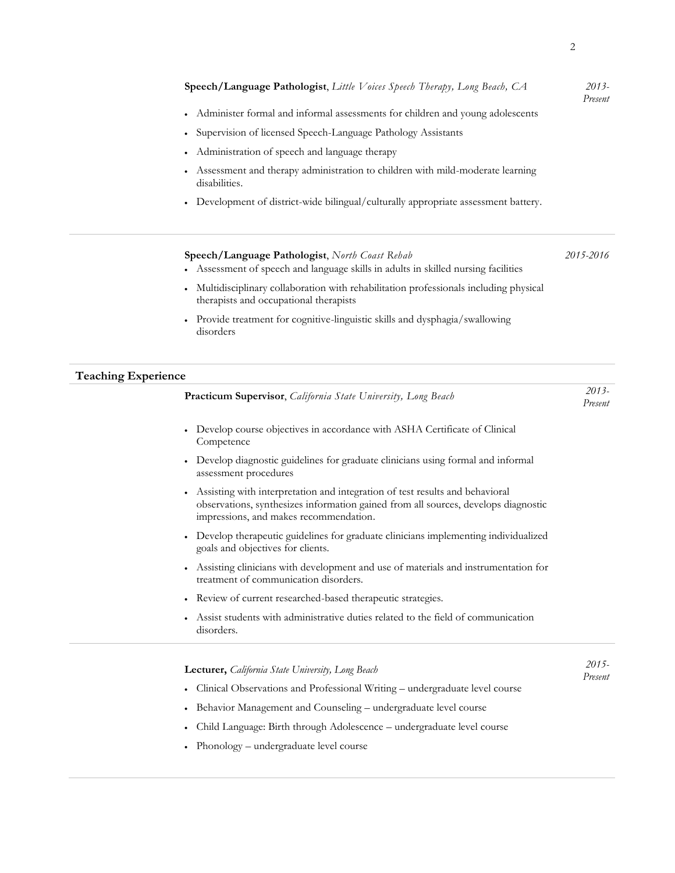|                            | Speech/Language Pathologist, Little Voices Speech Therapy, Long Beach, CA                                                                   | $2013-$<br>Present |
|----------------------------|---------------------------------------------------------------------------------------------------------------------------------------------|--------------------|
|                            | • Administer formal and informal assessments for children and young adolescents                                                             |                    |
|                            | • Supervision of licensed Speech-Language Pathology Assistants                                                                              |                    |
|                            | Administration of speech and language therapy<br>$\bullet$                                                                                  |                    |
|                            | Assessment and therapy administration to children with mild-moderate learning<br>$\bullet$<br>disabilities.                                 |                    |
|                            | • Development of district-wide bilingual/culturally appropriate assessment battery.                                                         |                    |
|                            | Speech/Language Pathologist, North Coast Rehab<br>• Assessment of speech and language skills in adults in skilled nursing facilities        | 2015-2016          |
|                            | Multidisciplinary collaboration with rehabilitation professionals including physical<br>$\bullet$<br>therapists and occupational therapists |                    |
|                            | Provide treatment for cognitive-linguistic skills and dysphagia/swallowing<br>disorders                                                     |                    |
| <b>Teaching Experience</b> |                                                                                                                                             |                    |
|                            |                                                                                                                                             | $2013-$            |

| Practicum Supervisor, California State University, Long Beach                                                                                                                                                             | <b>∠∪ / -</b><br>Present |
|---------------------------------------------------------------------------------------------------------------------------------------------------------------------------------------------------------------------------|--------------------------|
| Develop course objectives in accordance with ASHA Certificate of Clinical<br>$\bullet$<br>Competence                                                                                                                      |                          |
| Develop diagnostic guidelines for graduate clinicians using formal and informal<br>assessment procedures                                                                                                                  |                          |
| Assisting with interpretation and integration of test results and behavioral<br>$\bullet$<br>observations, synthesizes information gained from all sources, develops diagnostic<br>impressions, and makes recommendation. |                          |
| Develop therapeutic guidelines for graduate clinicians implementing individualized<br>goals and objectives for clients.                                                                                                   |                          |
| Assisting clinicians with development and use of materials and instrumentation for<br>treatment of communication disorders.                                                                                               |                          |
| Review of current researched-based therapeutic strategies.<br>$\bullet$                                                                                                                                                   |                          |
| Assist students with administrative duties related to the field of communication<br>disorders.                                                                                                                            |                          |
| <b>Lecturer,</b> California State University, Long Beach<br>Clinical Observations and Professional Writing – undergraduate level course                                                                                   | $2015 -$<br>Present      |
|                                                                                                                                                                                                                           |                          |

- Behavior Management and Counseling undergraduate level course
- Child Language: Birth through Adolescence undergraduate level course
- Phonology undergraduate level course